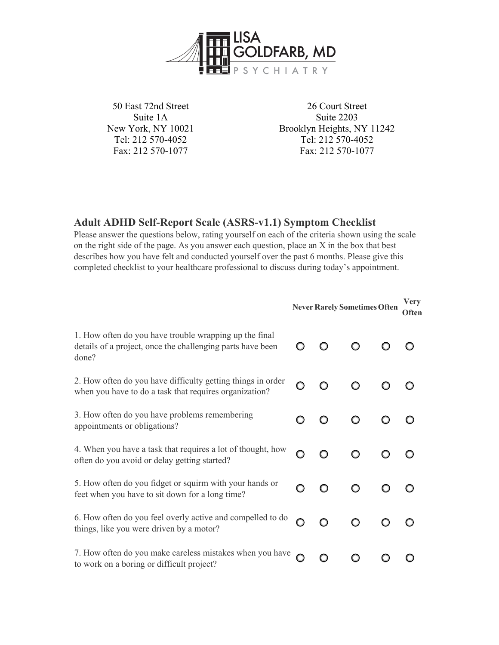

50 East 72nd Street Suite 1A New York, NY 10021 Tel: 212 570-4052 Fax: 212 570-1077

26 Court Street Suite 2203 Brooklyn Heights, NY 11242 Tel: 212 570-4052 Fax: 212 570-1077

## **Adult ADHD Self-Report Scale (ASRS-v1.1) Symptom Checklist**

Please answer the questions below, rating yourself on each of the criteria shown using the scale on the right side of the page. As you answer each question, place an X in the box that best describes how you have felt and conducted yourself over the past 6 months. Please give this completed checklist to your healthcare professional to discuss during today's appointment.

|                                                                                                                               | <b>Very</b><br><b>Never Rarely Sometimes Often</b><br><b>Often</b> |         |         |  |  |
|-------------------------------------------------------------------------------------------------------------------------------|--------------------------------------------------------------------|---------|---------|--|--|
| 1. How often do you have trouble wrapping up the final<br>details of a project, once the challenging parts have been<br>done? |                                                                    | $\circ$ |         |  |  |
| 2. How often do you have difficulty getting things in order<br>when you have to do a task that requires organization?         |                                                                    | $\circ$ |         |  |  |
| 3. How often do you have problems remembering<br>appointments or obligations?                                                 |                                                                    |         | $\circ$ |  |  |
| 4. When you have a task that requires a lot of thought, how<br>often do you avoid or delay getting started?                   | O                                                                  | $\circ$ |         |  |  |
| 5. How often do you fidget or squirm with your hands or<br>feet when you have to sit down for a long time?                    | ∩                                                                  | O       | $\circ$ |  |  |
| 6. How often do you feel overly active and compelled to do<br>things, like you were driven by a motor?                        |                                                                    | $\circ$ | O       |  |  |
| 7. How often do you make careless mistakes when you have $\bigcap$<br>to work on a boring or difficult project?               |                                                                    | O       |         |  |  |